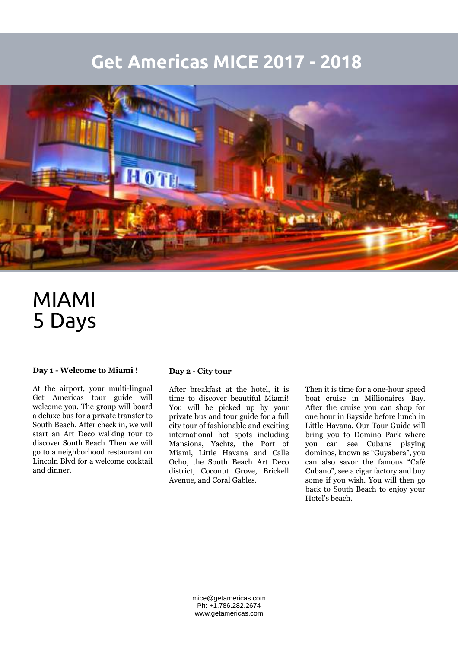## **Get Americas MICE 2017 - 2018**



# MIAMI 5 Days

### **Day 1 - Welcome to Miami !**

At the airport, your multi-lingual Get Americas tour guide will welcome you. The group will board a deluxe bus for a private transfer to South Beach. After check in, we will start an Art Deco walking tour to discover South Beach. Then we will go to a neighborhood restaurant on Lincoln Blvd for a welcome cocktail and dinner.

#### **Day 2 - City tour**

After breakfast at the hotel, it is time to discover beautiful Miami! You will be picked up by your private bus and tour guide for a full city tour of fashionable and exciting international hot spots including Mansions, Yachts, the Port of Miami, Little Havana and Calle Ocho, the South Beach Art Deco district, Coconut Grove, Brickell Avenue, and Coral Gables.

Then it is time for a one-hour speed boat cruise in Millionaires Bay. After the cruise you can shop for one hour in Bayside before lunch in Little Havana. Our Tour Guide will bring you to Domino Park where you can see Cubans playing dominos, known as "Guyabera", you can also savor the famous "Café Cubano", see a cigar factory and buy some if you wish. You will then go back to South Beach to enjoy your Hotel's beach.